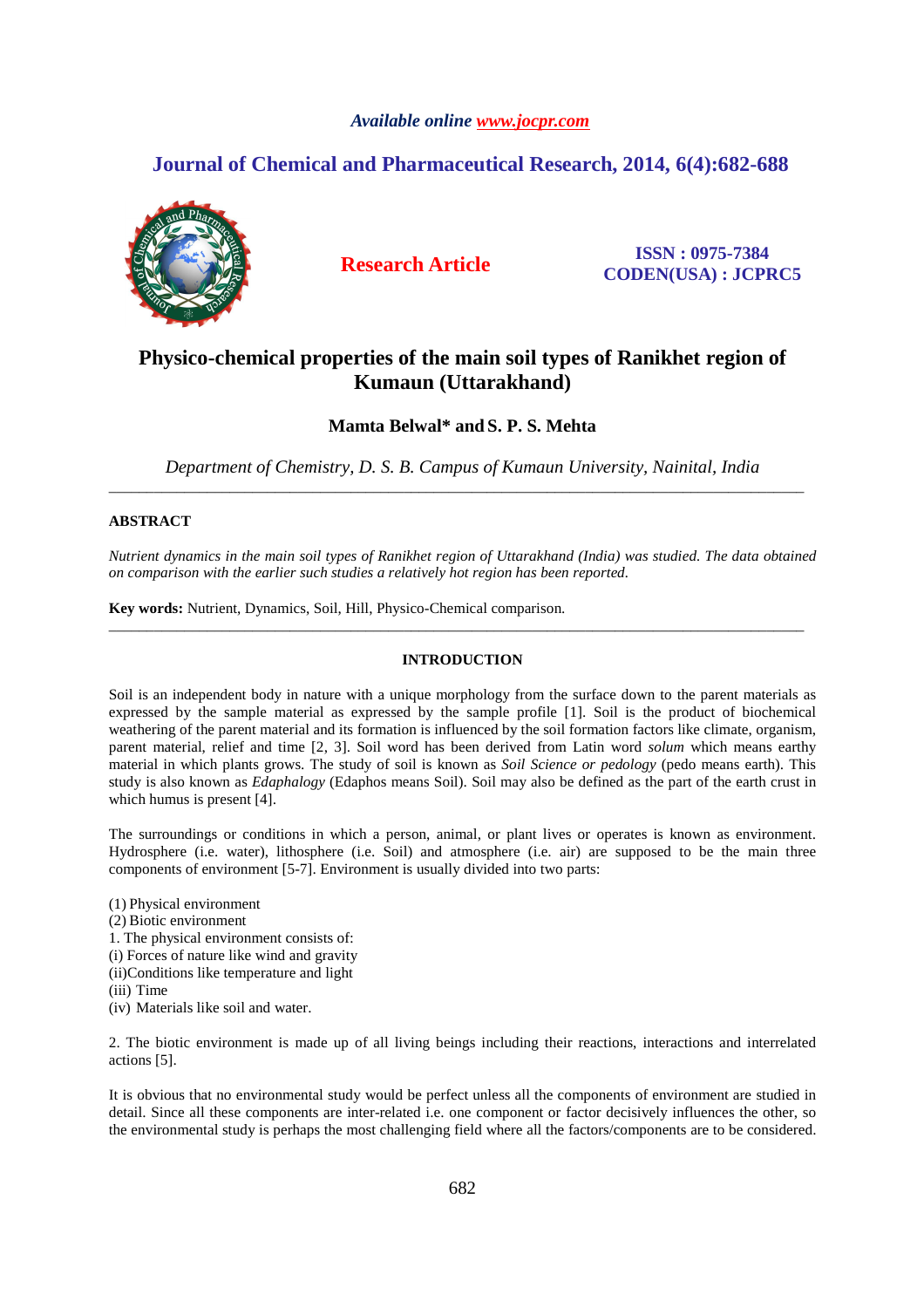# *Available online www.jocpr.com*

# **Journal of Chemical and Pharmaceutical Research, 2014, 6(4):682-688**



**Research Article ISSN : 0975-7384 CODEN(USA) : JCPRC5**

# **Physico-chemical properties of the main soil types of Ranikhet region of Kumaun (Uttarakhand)**

# **Mamta Belwal\* and S. P. S. Mehta**

*Department of Chemistry, D. S. B. Campus of Kumaun University, Nainital, India*  \_\_\_\_\_\_\_\_\_\_\_\_\_\_\_\_\_\_\_\_\_\_\_\_\_\_\_\_\_\_\_\_\_\_\_\_\_\_\_\_\_\_\_\_\_\_\_\_\_\_\_\_\_\_\_\_\_\_\_\_\_\_\_\_\_\_\_\_\_\_\_\_\_\_\_\_\_\_\_\_\_\_\_\_\_\_\_\_\_\_\_\_

# **ABSTRACT**

*Nutrient dynamics in the main soil types of Ranikhet region of Uttarakhand (India) was studied. The data obtained on comparison with the earlier such studies a relatively hot region has been reported.* 

**Key words:** Nutrient, Dynamics, Soil, Hill, Physico-Chemical comparison.

# **INTRODUCTION**

\_\_\_\_\_\_\_\_\_\_\_\_\_\_\_\_\_\_\_\_\_\_\_\_\_\_\_\_\_\_\_\_\_\_\_\_\_\_\_\_\_\_\_\_\_\_\_\_\_\_\_\_\_\_\_\_\_\_\_\_\_\_\_\_\_\_\_\_\_\_\_\_\_\_\_\_\_\_\_\_\_\_\_\_\_\_\_\_\_\_\_\_

Soil is an independent body in nature with a unique morphology from the surface down to the parent materials as expressed by the sample material as expressed by the sample profile [1]. Soil is the product of biochemical weathering of the parent material and its formation is influenced by the soil formation factors like climate, organism, parent material, relief and time [2, 3]. Soil word has been derived from Latin word *solum* which means earthy material in which plants grows. The study of soil is known as *Soil Science or pedology* (pedo means earth). This study is also known as *Edaphalogy* (Edaphos means Soil). Soil may also be defined as the part of the earth crust in which humus is present [4].

The surroundings or conditions in which a person, animal, or plant lives or operates is known as environment. Hydrosphere (i.e. water), lithosphere (i.e. Soil) and atmosphere (i.e. air) are supposed to be the main three components of environment [5-7]. Environment is usually divided into two parts:

(1) Physical environment

- (2) Biotic environment
- 1. The physical environment consists of:
- (i) Forces of nature like wind and gravity
- (ii)Conditions like temperature and light
- (iii) Time
- (iv) Materials like soil and water.

2. The biotic environment is made up of all living beings including their reactions, interactions and interrelated actions [5].

It is obvious that no environmental study would be perfect unless all the components of environment are studied in detail. Since all these components are inter-related i.e. one component or factor decisively influences the other, so the environmental study is perhaps the most challenging field where all the factors/components are to be considered.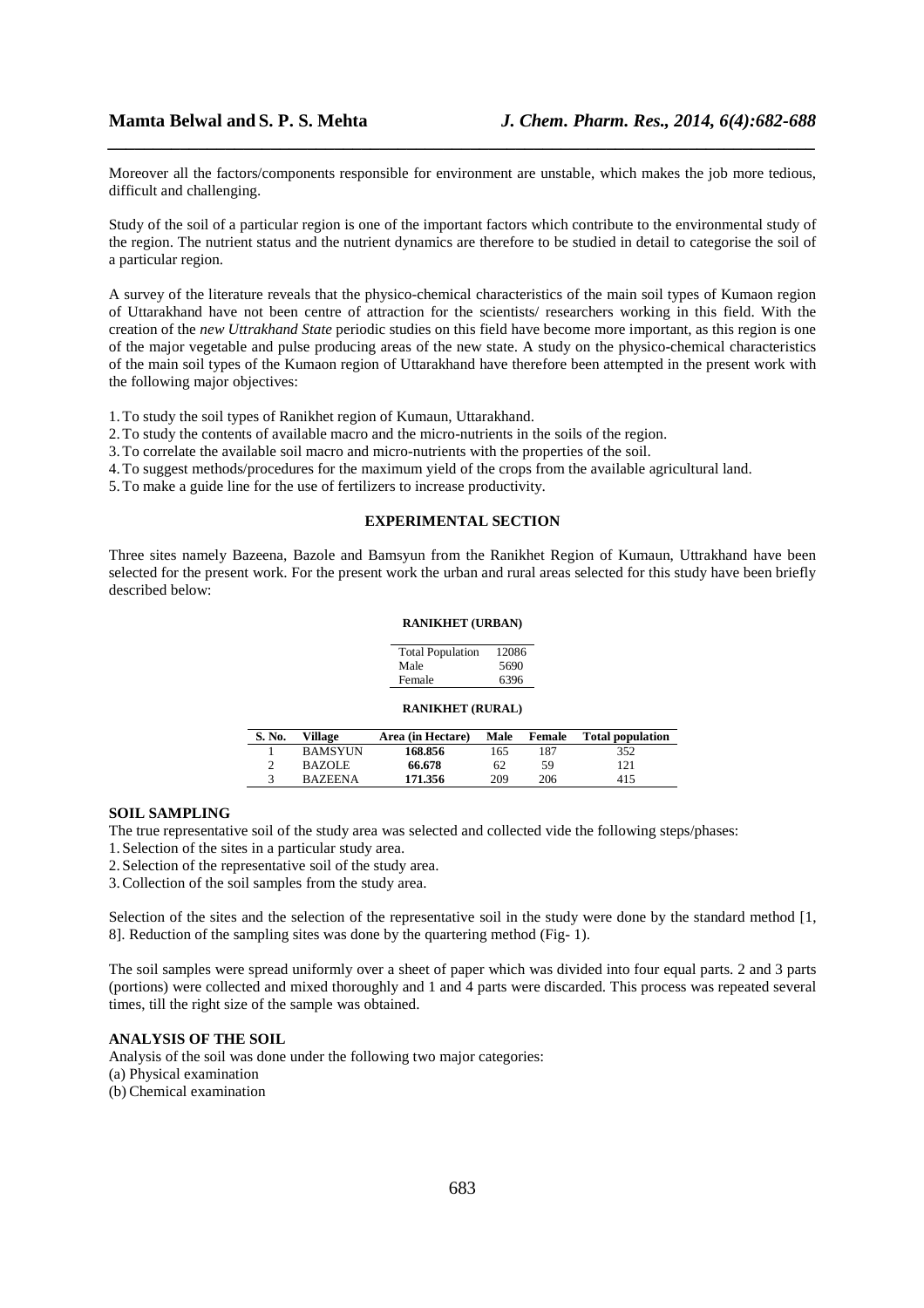Moreover all the factors/components responsible for environment are unstable, which makes the job more tedious, difficult and challenging.

*\_\_\_\_\_\_\_\_\_\_\_\_\_\_\_\_\_\_\_\_\_\_\_\_\_\_\_\_\_\_\_\_\_\_\_\_\_\_\_\_\_\_\_\_\_\_\_\_\_\_\_\_\_\_\_\_\_\_\_\_\_\_\_\_\_\_\_\_\_\_\_\_\_\_\_\_\_\_*

Study of the soil of a particular region is one of the important factors which contribute to the environmental study of the region. The nutrient status and the nutrient dynamics are therefore to be studied in detail to categorise the soil of a particular region.

A survey of the literature reveals that the physico-chemical characteristics of the main soil types of Kumaon region of Uttarakhand have not been centre of attraction for the scientists/ researchers working in this field. With the creation of the *new Uttrakhand State* periodic studies on this field have become more important, as this region is one of the major vegetable and pulse producing areas of the new state. A study on the physico-chemical characteristics of the main soil types of the Kumaon region of Uttarakhand have therefore been attempted in the present work with the following major objectives:

- 1. To study the soil types of Ranikhet region of Kumaun, Uttarakhand.
- 2. To study the contents of available macro and the micro-nutrients in the soils of the region.
- 3. To correlate the available soil macro and micro-nutrients with the properties of the soil.
- 4. To suggest methods/procedures for the maximum yield of the crops from the available agricultural land.
- 5. To make a guide line for the use of fertilizers to increase productivity.

# **EXPERIMENTAL SECTION**

Three sites namely Bazeena, Bazole and Bamsyun from the Ranikhet Region of Kumaun, Uttrakhand have been selected for the present work. For the present work the urban and rural areas selected for this study have been briefly described below:

#### **RANIKHET (URBAN)**

| <b>Total Population</b> | 12086 |
|-------------------------|-------|
| Male                    | 5690  |
| Female                  | 6396  |
|                         |       |

### **RANIKHET (RURAL)**

| S. No. | <b>Village</b> | Area (in Hectare) | Male | Female | <b>Total population</b> |
|--------|----------------|-------------------|------|--------|-------------------------|
|        | <b>BAMSYUN</b> | 168.856           | 165  | 187    | 352                     |
|        | <b>BAZOLE</b>  | 66.678            | 62   | 59     | 121                     |
|        | <b>BAZEENA</b> | 171.356           | 209  | 206    | 415                     |

#### **SOIL SAMPLING**

The true representative soil of the study area was selected and collected vide the following steps/phases:

- 1. Selection of the sites in a particular study area.
- 2. Selection of the representative soil of the study area.
- 3.Collection of the soil samples from the study area.

Selection of the sites and the selection of the representative soil in the study were done by the standard method [1, 8]. Reduction of the sampling sites was done by the quartering method (Fig- 1).

The soil samples were spread uniformly over a sheet of paper which was divided into four equal parts. 2 and 3 parts (portions) were collected and mixed thoroughly and 1 and 4 parts were discarded. This process was repeated several times, till the right size of the sample was obtained.

# **ANALYSIS OF THE SOIL**

Analysis of the soil was done under the following two major categories: (a) Physical examination (b) Chemical examination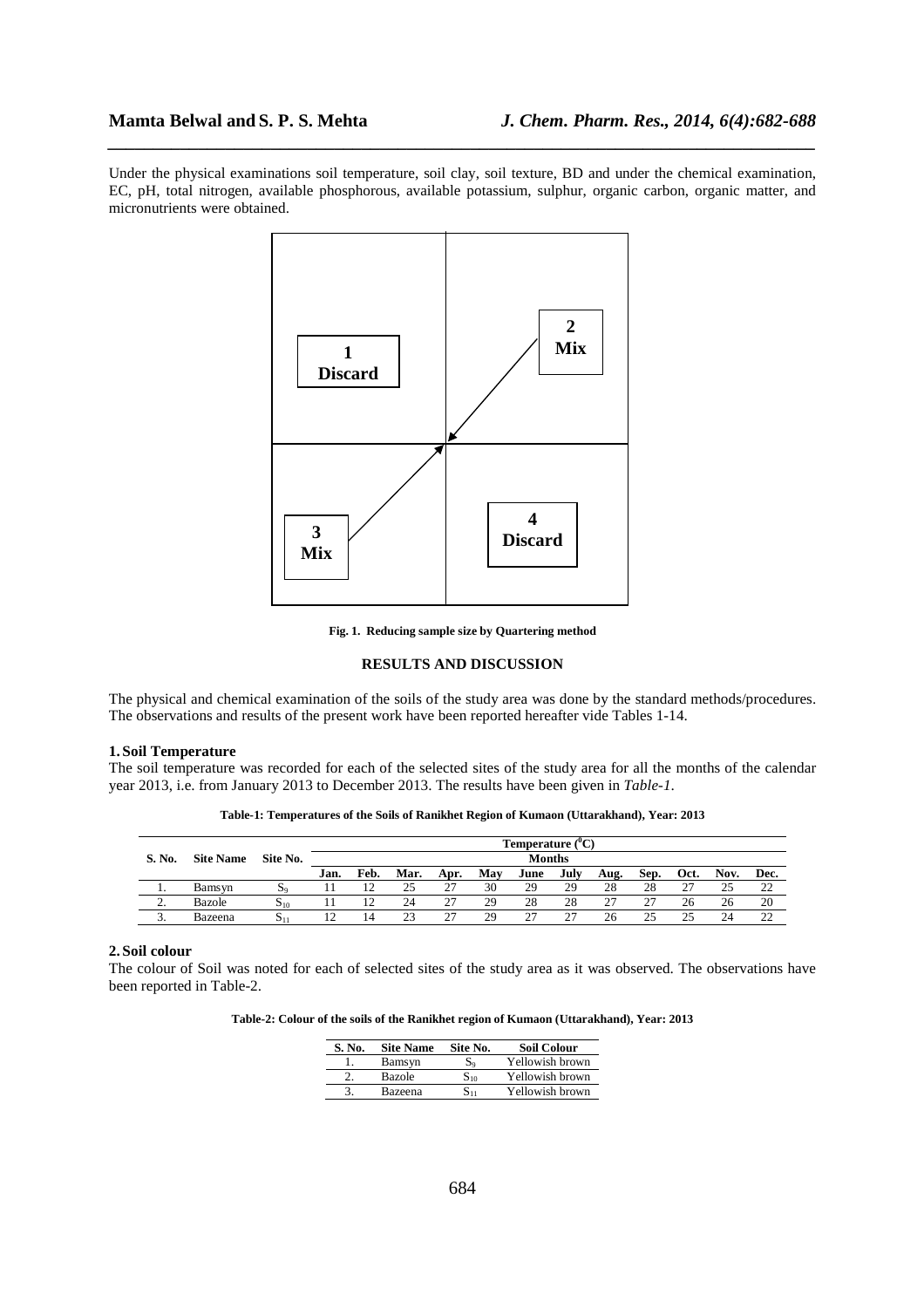Under the physical examinations soil temperature, soil clay, soil texture, BD and under the chemical examination, EC, pH, total nitrogen, available phosphorous, available potassium, sulphur, organic carbon, organic matter, and micronutrients were obtained.

*\_\_\_\_\_\_\_\_\_\_\_\_\_\_\_\_\_\_\_\_\_\_\_\_\_\_\_\_\_\_\_\_\_\_\_\_\_\_\_\_\_\_\_\_\_\_\_\_\_\_\_\_\_\_\_\_\_\_\_\_\_\_\_\_\_\_\_\_\_\_\_\_\_\_\_\_\_\_*



**Fig. 1. Reducing sample size by Quartering method** 

# **RESULTS AND DISCUSSION**

The physical and chemical examination of the soils of the study area was done by the standard methods/procedures. The observations and results of the present work have been reported hereafter vide Tables 1-14.

## **1. Soil Temperature**

The soil temperature was recorded for each of the selected sites of the study area for all the months of the calendar year 2013, i.e. from January 2013 to December 2013. The results have been given in *Table-1*.

**Table-1: Temperatures of the Soils of Ranikhet Region of Kumaon (Uttarakhand), Year: 2013** 

|          |                  |                   |      | Temperature $(^0C)$<br><b>Months</b> |      |      |     |      |      |      |      |      |      |        |
|----------|------------------|-------------------|------|--------------------------------------|------|------|-----|------|------|------|------|------|------|--------|
| S. No.   | <b>Site Name</b> | Site No.          |      |                                      |      |      |     |      |      |      |      |      |      |        |
|          |                  |                   | Jan. | Feb.                                 | Mar. | Apr. | May | June | July | Aug. | Sep. | Oct. | Nov. | Dec.   |
| . .      | Bamsyn           | $\mathbf{a}$      |      |                                      | 25   | 27   | 30  | 29   | 29   | 28   | 28   | 27   | 25   | າາ     |
| <u>.</u> | Bazole           | $S_{10}$          |      |                                      | 24   | 27   | 29  | 28   | 28   | -27  |      | 26   | 26   | 20     |
|          | Bazeena          | $\mathbf{S}_{11}$ |      | 14                                   | 23   | 27   | 29  | 27   | 27   | 26   |      | つく   | 24   | $\sim$ |

#### **2. Soil colour**

The colour of Soil was noted for each of selected sites of the study area as it was observed. The observations have been reported in Table-2.

**Table-2: Colour of the soils of the Ranikhet region of Kumaon (Uttarakhand), Year: 2013** 

| S. No. | <b>Site Name</b> | Site No. | <b>Soil Colour</b> |
|--------|------------------|----------|--------------------|
|        | Bamsyn           | $S_9$    | Yellowish brown    |
|        | Bazole           | $S_{10}$ | Yellowish brown    |
|        | Bazeena          | $S_{11}$ | Yellowish brown    |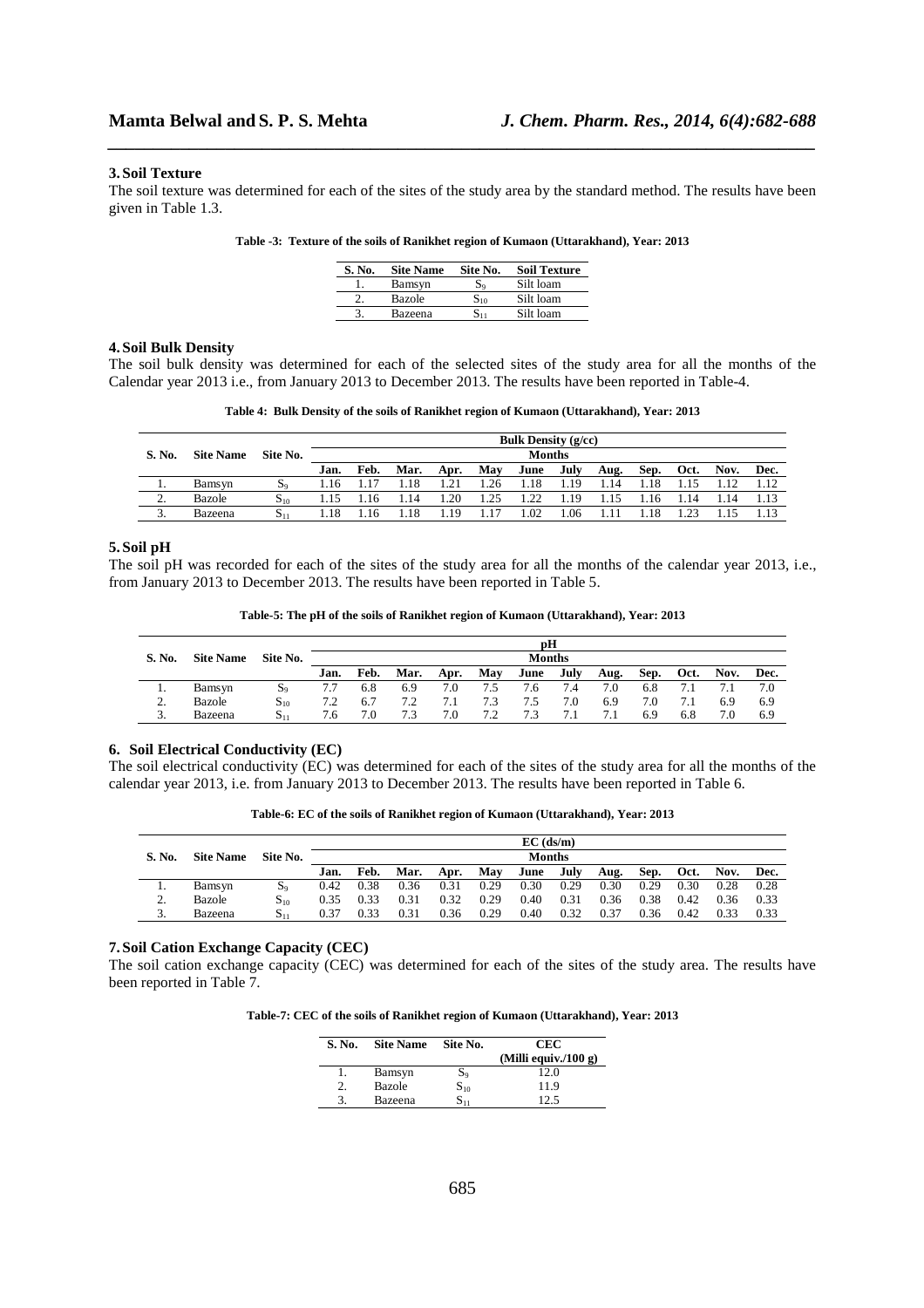#### **3. Soil Texture**

The soil texture was determined for each of the sites of the study area by the standard method. The results have been given in Table 1.3.

*\_\_\_\_\_\_\_\_\_\_\_\_\_\_\_\_\_\_\_\_\_\_\_\_\_\_\_\_\_\_\_\_\_\_\_\_\_\_\_\_\_\_\_\_\_\_\_\_\_\_\_\_\_\_\_\_\_\_\_\_\_\_\_\_\_\_\_\_\_\_\_\_\_\_\_\_\_\_*

|  |  |  | Table -3: Texture of the soils of Ranikhet region of Kumaon (Uttarakhand), Year: 2013 |  |
|--|--|--|---------------------------------------------------------------------------------------|--|
|  |  |  |                                                                                       |  |

| S. No. | <b>Site Name</b> | Site No.          | <b>Soil Texture</b> |
|--------|------------------|-------------------|---------------------|
|        | Bamsyn           | S۰                | Silt loam           |
|        | Bazole           | $\mathbf{S}_{10}$ | Silt loam           |
|        | Bazeena          | 811               | Silt loam           |

### **4. Soil Bulk Density**

The soil bulk density was determined for each of the selected sites of the study area for all the months of the Calendar year 2013 i.e., from January 2013 to December 2013. The results have been reported in Table-4.

**Table 4: Bulk Density of the soils of Ranikhet region of Kumaon (Uttarakhand), Year: 2013** 

| <b>Bulk Density (g/cc)</b> |                  |          |               |      |      |      |      |      |      |      |      |      |      |      |
|----------------------------|------------------|----------|---------------|------|------|------|------|------|------|------|------|------|------|------|
| S. No.                     | <b>Site Name</b> | Site No. | <b>Months</b> |      |      |      |      |      |      |      |      |      |      |      |
|                            |                  |          | Jan.          | Feb. | Mar. | Apr. | May  | June | July | Aug. | Sep. | Oct. | Nov. | Dec. |
| ι.                         | Bamsyn           | $S_0$    | 1.16          |      | 1.18 | 1.21 | 1.26 | 1.18 | 1.19 | 1.14 |      |      |      |      |
| $\mathcal{L}$<br><u>.</u>  | Bazole           | $S_{10}$ |               | .16  | 1.14 | 1.20 | 1.25 | 1.22 | 1.19 | l.15 | .16  | l.14 | 1.14 |      |
| $\sim$<br>υ.               | Bazeena          | $S_{11}$ | .18           | 16   | .18  | l.19 | 1.17 | .02  | .06  |      | 18   |      |      |      |

#### **5. Soil pH**

The soil pH was recorded for each of the sites of the study area for all the months of the calendar year 2013, i.e., from January 2013 to December 2013. The results have been reported in Table 5.

|  | Table-5: The pH of the soils of Ranikhet region of Kumaon (Uttarakhand), Year: 2013 |  |
|--|-------------------------------------------------------------------------------------|--|
|  |                                                                                     |  |

| pН                        |                  |                           |      |      |      |      |     |      |      |      |      |      |      |      |
|---------------------------|------------------|---------------------------|------|------|------|------|-----|------|------|------|------|------|------|------|
| S. No.                    | <b>Site Name</b> | <b>Months</b><br>Site No. |      |      |      |      |     |      |      |      |      |      |      |      |
|                           |                  |                           | Jan. | Feb. | Mar. | Apr. | May | June | July | Aug. | Sep. | Oct. | Nov. | Dec. |
|                           | Bamsyn           | $S_9$                     |      | 6.8  | 6.9  | 7.0  | 7.5 | 6./  | 7.4  | 7.0  | 6.8  |      |      | 7.0  |
| $\mathcal{L}$<br><u>.</u> | Bazole           | $S_{10}$                  | 7.2  | 6.7  | 7.2  | 7.1  | 7.3 | 7.5  | 7.0  | 6.9  | 7.0  |      | 6.9  | 6.9  |
| 3.                        | Bazeena          | $S_{11}$                  | '.6  | 7.0  | 7.3  | 7.0  | 7.2 | 7.3  | 7.1  | 7.1  | 6.9  | 6.8  | 7.0  | 6.9  |

#### **6. Soil Electrical Conductivity (EC)**

The soil electrical conductivity (EC) was determined for each of the sites of the study area for all the months of the calendar year 2013, i.e. from January 2013 to December 2013. The results have been reported in Table 6.

**Table-6: EC of the soils of Ranikhet region of Kumaon (Uttarakhand), Year: 2013** 

|        |                  |          |      | $EC$ (ds/m)<br><b>Months</b> |      |      |      |      |      |      |      |      |      |      |
|--------|------------------|----------|------|------------------------------|------|------|------|------|------|------|------|------|------|------|
| S. No. | <b>Site Name</b> | Site No. |      |                              |      |      |      |      |      |      |      |      |      |      |
|        |                  |          | Jan. | Feb.                         | Mar. | Apr. | May  | June | July | Aug. | Sep. | Oct. | Nov. | Dec. |
| . .    | Bamsyn           | $S_9$    | 0.42 | 0.38                         | 0.36 | 0.31 | 0.29 | 0.30 | 0.29 | 0.30 | 0.29 | 0.30 | 0.28 | 0.28 |
| ٠.     | Bazole           | $S_{10}$ | 0.35 | 0.33                         | 0.31 | 0.32 | 0.29 | 0.40 | 0.31 | 0.36 | 0.38 | 0.42 | 0.36 | 0.33 |
| J.     | Bazeena          | $S_{11}$ | 0.37 | 0.33                         | 0.31 | 0.36 | 0.29 | 0.40 | 0.32 | 0.37 | 0.36 | 0.42 | 0.33 | 0.33 |

### **7. Soil Cation Exchange Capacity (CEC)**

The soil cation exchange capacity (CEC) was determined for each of the sites of the study area. The results have been reported in Table 7.

**Table-7: CEC of the soils of Ranikhet region of Kumaon (Uttarakhand), Year: 2013** 

| S. No. | <b>Site Name</b> | Site No.          | CEC                  |
|--------|------------------|-------------------|----------------------|
|        |                  |                   | (Milli equiv./100 g) |
|        | Bamsyn           | $S_9$             | 12.0                 |
|        | Bazole           | $\mathrm{S}_{10}$ | 11.9                 |
| 3      | Bazeena          | 511               |                      |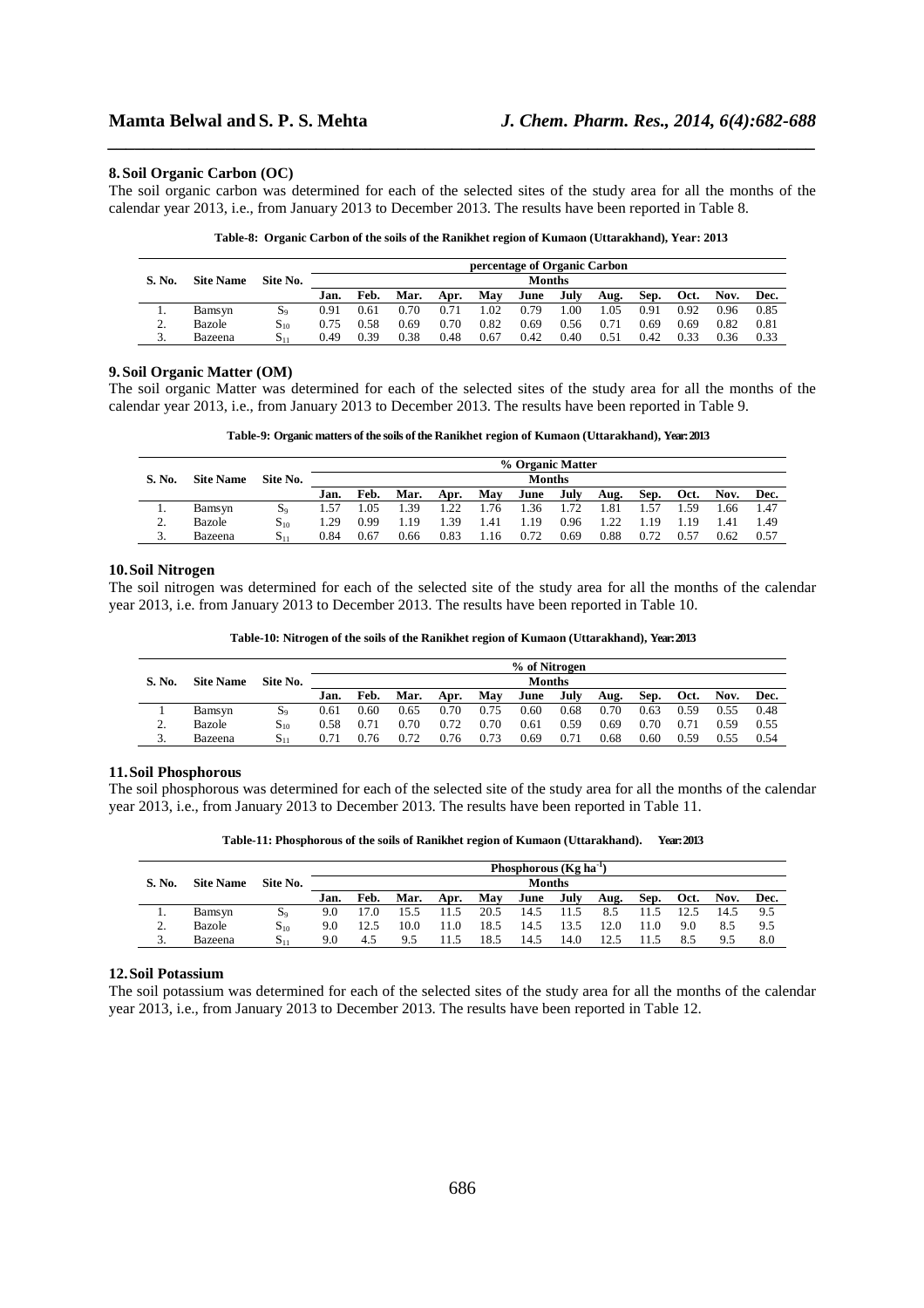#### **8. Soil Organic Carbon (OC)**

The soil organic carbon was determined for each of the selected sites of the study area for all the months of the calendar year 2013, i.e., from January 2013 to December 2013. The results have been reported in Table 8.

*\_\_\_\_\_\_\_\_\_\_\_\_\_\_\_\_\_\_\_\_\_\_\_\_\_\_\_\_\_\_\_\_\_\_\_\_\_\_\_\_\_\_\_\_\_\_\_\_\_\_\_\_\_\_\_\_\_\_\_\_\_\_\_\_\_\_\_\_\_\_\_\_\_\_\_\_\_\_*

|  |  |  |  |  |  |  |  | Table-8: Organic Carbon of the soils of the Ranikhet region of Kumaon (Uttarakhand), Year: 2013 |  |  |
|--|--|--|--|--|--|--|--|-------------------------------------------------------------------------------------------------|--|--|
|--|--|--|--|--|--|--|--|-------------------------------------------------------------------------------------------------|--|--|

| percentage of Organic Carbon |                  |             |      |      |      |      |      |               |      |      |      |      |      |      |
|------------------------------|------------------|-------------|------|------|------|------|------|---------------|------|------|------|------|------|------|
| S. No.                       | <b>Site Name</b> | Site No.    |      |      |      |      |      | <b>Months</b> |      |      |      |      |      |      |
|                              |                  |             | Jan. | Feb. | Mar. | Apr. | May  | June          | July | Aug. | Sep. | Oct. | Nov. | Dec. |
| . .                          | Bamsyn           | $S_0$       | 0.91 | 0.61 | 0.70 | 0.71 | l.O2 | 0.79          | .00  | .05  | 0.91 | 0.92 | 0.96 | 0.85 |
| ∍<br>۷.                      | Bazole           | $S_{10}$    | 0.75 | 0.58 | 0.69 | 0.70 | 0.82 | 0.69          | 0.56 | 0.71 | 0.69 | 0.69 | 0.82 | 0.81 |
| J.                           | Bazeena          | $S_{\perp}$ | 0.49 | 0.39 | 0.38 | 0.48 | 0.67 | 0.42          | 0.40 | 0.51 | 0.42 | 0.33 | 0.36 | 0.33 |

### **9. Soil Organic Matter (OM)**

The soil organic Matter was determined for each of the selected sites of the study area for all the months of the calendar year 2013, i.e., from January 2013 to December 2013. The results have been reported in Table 9.

**Table-9: Organic matters of the soils of the Ranikhet region of Kumaon (Uttarakhand), Year: 2013** 

|               |                  |                |      | % Organic Matter |      |      |        |               |      |      |      |        |      |      |  |  |
|---------------|------------------|----------------|------|------------------|------|------|--------|---------------|------|------|------|--------|------|------|--|--|
| S. No.        | <b>Site Name</b> | Site No.       |      |                  |      |      |        | <b>Months</b> |      |      |      |        |      |      |  |  |
|               |                  |                | Jan. | Feb.             | Mar. | Apr. | Mav    | June          | July | Aug. | Sep. | Oct.   | Nov. | Dec. |  |  |
|               | Bamsyn           | S <sub>o</sub> | 1.57 | .05              | . 39 | 1.22 | 1.76   | 1.36          | 1.72 | l.81 | .57  | . . 59 | .66  | 1.47 |  |  |
| ∍<br><u>.</u> | Bazole           | $S_{10}$       | .29  | 0.99             | .19  | 1.39 | 1.41   | .19           | 0.96 | 1.22 | -19  | l. 19  | 1.41 | 149  |  |  |
| J.            | Bazeena          | $S_{11}$       | 0.84 | 0.67             | 0.66 | 0.83 | . . 16 | 0.72          | 0.69 | 0.88 | 0.72 | 0.57   | 0.62 | 0.57 |  |  |

### **10.Soil Nitrogen**

The soil nitrogen was determined for each of the selected site of the study area for all the months of the calendar year 2013, i.e. from January 2013 to December 2013. The results have been reported in Table 10.

**Table-10: Nitrogen of the soils of the Ranikhet region of Kumaon (Uttarakhand), Year: 2013** 

|               |                  |          |      | % of Nitrogen |      |      |      |               |      |      |      |      |      |      |  |  |
|---------------|------------------|----------|------|---------------|------|------|------|---------------|------|------|------|------|------|------|--|--|
| S. No.        | <b>Site Name</b> | Site No. |      |               |      |      |      | <b>Months</b> |      |      |      |      |      |      |  |  |
|               |                  |          | Jan. | Feb.          | Mar. | Apr. | Mav  | June          | July | Aug. | Sep. | Oct. | Nov. | Dec. |  |  |
|               | Bamsyn           | $S_9$    | 0.61 | 0.60          | 0.65 | 0.70 | 0.75 | 0.60          | 0.68 | 0.70 | 0.63 | 0.59 | 0.55 | 0.48 |  |  |
| ◠<br><u>.</u> | Bazole           | $S_{10}$ | 0.58 | 0.71          | 0.70 | 0.72 | 0.70 | 0.61          | 0.59 | 0.69 | 0.70 | 0.71 | 0.59 | 0.55 |  |  |
| J.            | Bazeena          | $S_{11}$ | 0.71 | 0.76          | 0.72 | 0.76 | 0.73 | 0.69          | 0.71 | 0.68 | 0.60 | 0.59 | 0.55 | 0.54 |  |  |

# **11.Soil Phosphorous**

The soil phosphorous was determined for each of the selected site of the study area for all the months of the calendar year 2013, i.e., from January 2013 to December 2013. The results have been reported in Table 11.

**Table-11: Phosphorous of the soils of Ranikhet region of Kumaon (Uttarakhand). Year: 2013** 

|        |                  |          | Phosphorous ( $Kg$ ha <sup>-1</sup> ) |       |      |       |      |               |      |      |      |      |      |      |
|--------|------------------|----------|---------------------------------------|-------|------|-------|------|---------------|------|------|------|------|------|------|
| S. No. | <b>Site Name</b> | Site No. |                                       |       |      |       |      | <b>Months</b> |      |      |      |      |      |      |
|        |                  |          | Jan.                                  | Feb.  | Mar. | Apr.  | May  | June          | July | Aug. | Sep. | Oct. | Nov. | Dec. |
|        | Bamsyn           | $S_9$    | 9.0                                   | l 7.0 |      | 11.5  | 20.5 | 14.5          | 11.5 | 8.5  | 11.5 | 12.5 | 14.5 | 9.5  |
| ٠.     | Bazole           | $S_{10}$ | 9.0                                   | 12.5  | 10.0 | 11.0  | 18.5 | 14.5          | 13.5 | 12.0 | 11.0 | 9.0  | 8.5  | 9.5  |
| J.     | Bazeena          | $S_{11}$ | 9.0                                   | 4.5   | 9.5  | l 1.5 | 18.5 | 14.5          | 14.0 | 12.5 |      | 8.5  | 9.5  | 8.0  |

#### **12.Soil Potassium**

The soil potassium was determined for each of the selected sites of the study area for all the months of the calendar year 2013, i.e., from January 2013 to December 2013. The results have been reported in Table 12.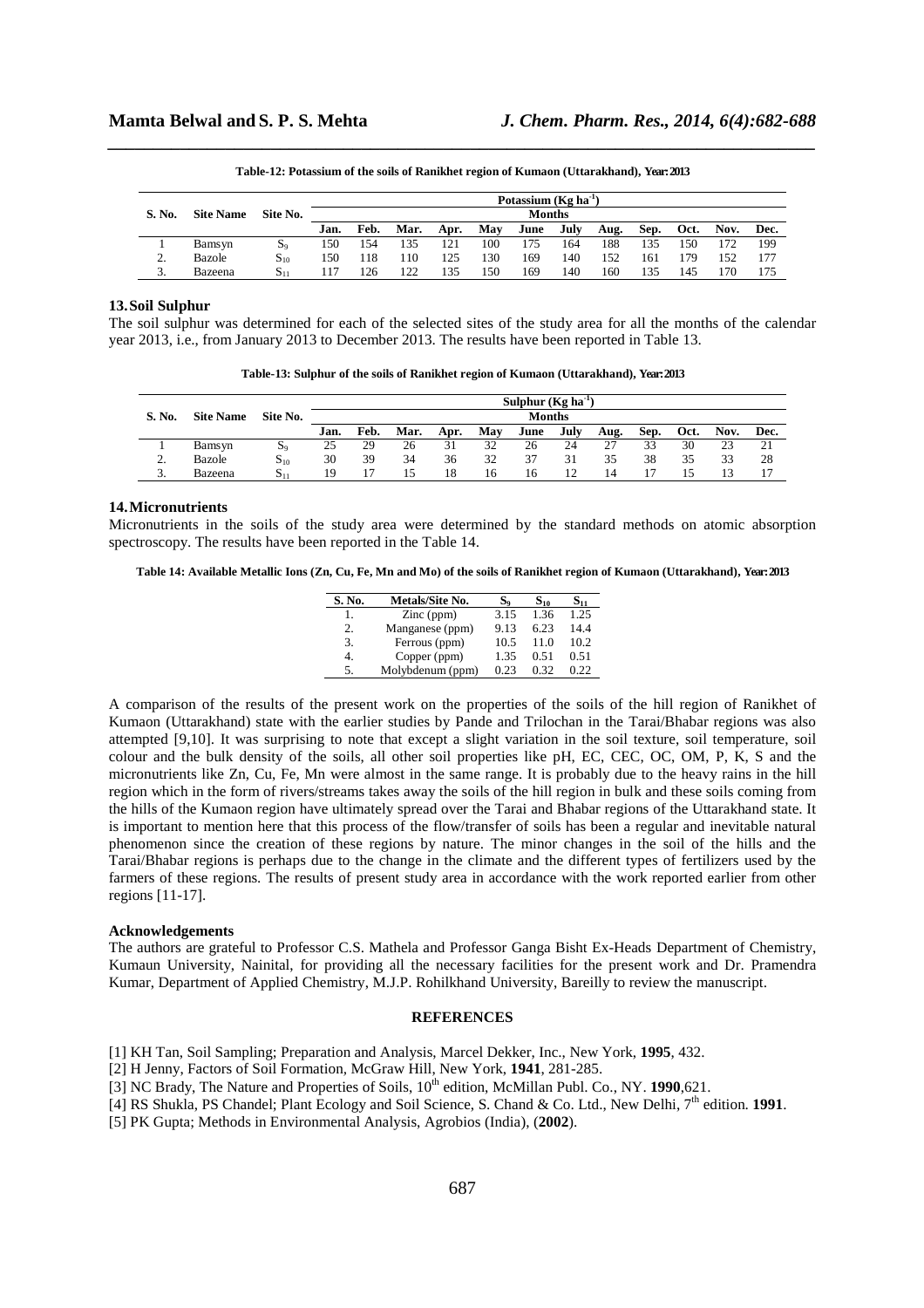| Potassium $(Kg ha-1)$ |                  |                   |      |      |      |      |     |               |      |      |      |      |      |      |
|-----------------------|------------------|-------------------|------|------|------|------|-----|---------------|------|------|------|------|------|------|
| S. No.                | <b>Site Name</b> | Site No.          |      |      |      |      |     | <b>Months</b> |      |      |      |      |      |      |
|                       |                  |                   | Jan. | Feb. | Mar. | Apr. | May | June          | July | Aug. | Sep. | Oct. | Nov. | Dec. |
|                       | Bamsyn           | $S_9$             | 150  | 154  | 135  | 121  | 100 | 75            | 164  | 188  | 135  | 150  | 172  | 199  |
| <u>.</u>              | Bazole           | $S_{10}$          | 150  | .18  | 110  | 125  | 130 | 169           | 140  | 152  | 161  | 179  | 152  | 177  |
| 3.                    | Bazeena          | $\mathrm{S}_{11}$ |      | 126  | 122  | 135  | 150 | 169           | 140  | 160  | 135  | 145  | '70  | 175  |

*\_\_\_\_\_\_\_\_\_\_\_\_\_\_\_\_\_\_\_\_\_\_\_\_\_\_\_\_\_\_\_\_\_\_\_\_\_\_\_\_\_\_\_\_\_\_\_\_\_\_\_\_\_\_\_\_\_\_\_\_\_\_\_\_\_\_\_\_\_\_\_\_\_\_\_\_\_\_* **Table-12: Potassium of the soils of Ranikhet region of Kumaon (Uttarakhand), Year: 2013** 

#### **13.Soil Sulphur**

The soil sulphur was determined for each of the selected sites of the study area for all the months of the calendar year 2013, i.e., from January 2013 to December 2013. The results have been reported in Table 13.

**Table-13: Sulphur of the soils of Ranikhet region of Kumaon (Uttarakhand), Year: 2013** 

| Sulphur $(Kg ha^{-1})$ |                  |          |      |      |      |      |     |               |      |      |      |      |      |      |
|------------------------|------------------|----------|------|------|------|------|-----|---------------|------|------|------|------|------|------|
| S. No.                 | <b>Site Name</b> | Site No. |      |      |      |      |     | <b>Months</b> |      |      |      |      |      |      |
|                        |                  |          | Jan. | Feb. | Mar. | Apr. | May | June          | July | Aug. | Sep. | Oct. | Nov. | Dec. |
|                        | Bamsyn           | $S_9$    | 25   | 29   | 26   | 31   | 32  | 26            | 24   | 27   | 33   | 30   | 23   | 21   |
| ◠<br><u>.</u>          | Bazole           | $S_{10}$ | 30   | 39   | 34   | 36   | 32  | 37            | 31   | 35   | 38   | 35   | 33   | 28   |
| υ.                     | Bazeena          | $S_1$    | 19   |      | 15   | 18   | 16  | 16            |      | 14   |      |      | 15   |      |

#### **14.Micronutrients**

Micronutrients in the soils of the study area were determined by the standard methods on atomic absorption spectroscopy. The results have been reported in the Table 14.

**Table 14: Available Metallic Ions (Zn, Cu, Fe, Mn and Mo) of the soils of Ranikhet region of Kumaon (Uttarakhand), Year: 2013** 

| S. No. | Metals/Site No.     | $S_{\rm o}$ | $S_{10}$ | $\mathbf{S_{11}}$ |
|--------|---------------------|-------------|----------|-------------------|
| 1.     | $\text{Zinc (ppm)}$ | 3.15        | 1.36     | 1.25              |
| 2.     | Manganese (ppm)     | 9.13        | 6.23     | 14.4              |
| 3.     | Ferrous (ppm)       | 10.5        | 11.0     | 10.2              |
| 4.     | Copper (ppm)        | 1.35        | 0.51     | 0.51              |
| 5.     | Molybdenum (ppm)    | 0.23        | 0.32     | 0.22              |

A comparison of the results of the present work on the properties of the soils of the hill region of Ranikhet of Kumaon (Uttarakhand) state with the earlier studies by Pande and Trilochan in the Tarai/Bhabar regions was also attempted [9,10]. It was surprising to note that except a slight variation in the soil texture, soil temperature, soil colour and the bulk density of the soils, all other soil properties like pH, EC, CEC, OC, OM, P, K, S and the micronutrients like Zn, Cu, Fe, Mn were almost in the same range. It is probably due to the heavy rains in the hill region which in the form of rivers/streams takes away the soils of the hill region in bulk and these soils coming from the hills of the Kumaon region have ultimately spread over the Tarai and Bhabar regions of the Uttarakhand state. It is important to mention here that this process of the flow/transfer of soils has been a regular and inevitable natural phenomenon since the creation of these regions by nature. The minor changes in the soil of the hills and the Tarai/Bhabar regions is perhaps due to the change in the climate and the different types of fertilizers used by the farmers of these regions. The results of present study area in accordance with the work reported earlier from other regions [11-17].

# **Acknowledgements**

The authors are grateful to Professor C.S. Mathela and Professor Ganga Bisht Ex-Heads Department of Chemistry, Kumaun University, Nainital, for providing all the necessary facilities for the present work and Dr. Pramendra Kumar, Department of Applied Chemistry, M.J.P. Rohilkhand University, Bareilly to review the manuscript.

# **REFERENCES**

- [1] KH Tan, Soil Sampling; Preparation and Analysis, Marcel Dekker, Inc., New York, **1995**, 432.
- [2] H Jenny, Factors of Soil Formation*,* McGraw Hill, New York, **1941**, 281-285.
- [3] NC Brady, The Nature and Properties of Soils, 10<sup>th</sup> edition, McMillan Publ. Co., NY. 1990,621.
- [4] RS Shukla, PS Chandel; Plant Ecology and Soil Science, S. Chand & Co. Ltd., New Delhi, 7th edition. **1991**.

[5] PK Gupta; Methods in Environmental Analysis, Agrobios (India), (**2002**).